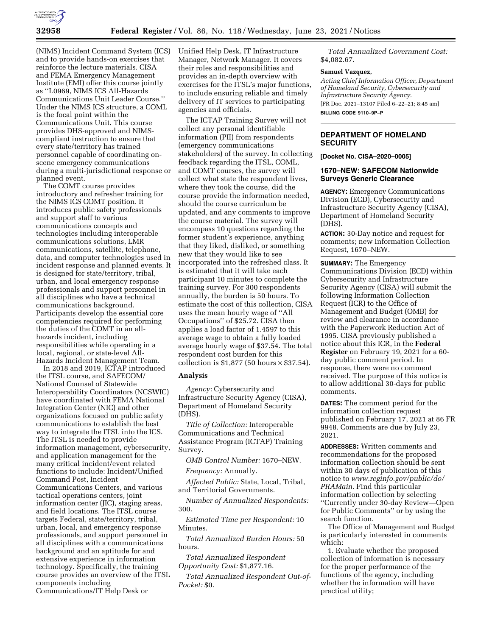

(NIMS) Incident Command System (ICS) and to provide hands-on exercises that reinforce the lecture materials. CISA and FEMA Emergency Management Institute (EMI) offer this course jointly as ''L0969, NIMS ICS All-Hazards Communications Unit Leader Course.'' Under the NIMS ICS structure, a COML is the focal point within the Communications Unit. This course provides DHS-approved and NIMScompliant instruction to ensure that every state/territory has trained personnel capable of coordinating onscene emergency communications during a multi-jurisdictional response or planned event.

The COMT course provides introductory and refresher training for the NIMS ICS COMT position. It introduces public safety professionals and support staff to various communications concepts and technologies including interoperable communications solutions, LMR communications, satellite, telephone, data, and computer technologies used in incident response and planned events. It is designed for state/territory, tribal, urban, and local emergency response professionals and support personnel in all disciplines who have a technical communications background. Participants develop the essential core competencies required for performing the duties of the COMT in an allhazards incident, including responsibilities while operating in a local, regional, or state-level All-Hazards Incident Management Team.

In 2018 and 2019, ICTAP introduced the ITSL course, and SAFECOM/ National Counsel of Statewide Interoperability Coordinators (NCSWIC) have coordinated with FEMA National Integration Center (NIC) and other organizations focused on public safety communications to establish the best way to integrate the ITSL into the ICS. The ITSL is needed to provide information management, cybersecurity, and application management for the many critical incident/event related functions to include: Incident/Unified Command Post, Incident Communications Centers, and various tactical operations centers, joint information center (JIC), staging areas, and field locations. The ITSL course targets Federal, state/territory, tribal, urban, local, and emergency response professionals, and support personnel in all disciplines with a communications background and an aptitude for and extensive experience in information technology. Specifically, the training course provides an overview of the ITSL components including Communications/IT Help Desk or

Unified Help Desk, IT Infrastructure Manager, Network Manager. It covers their roles and responsibilities and provides an in-depth overview with exercises for the ITSL's major functions, to include ensuring reliable and timely delivery of IT services to participating agencies and officials.

The ICTAP Training Survey will not collect any personal identifiable information (PII) from respondents (emergency communications stakeholders) of the survey. In collecting feedback regarding the ITSL, COML, and COMT courses, the survey will collect what state the respondent lives, where they took the course, did the course provide the information needed, should the course curriculum be updated, and any comments to improve the course material. The survey will encompass 10 questions regarding the former student's experience, anything that they liked, disliked, or something new that they would like to see incorporated into the refreshed class. It is estimated that it will take each participant 10 minutes to complete the training survey. For 300 respondents annually, the burden is 50 hours. To estimate the cost of this collection, CISA uses the mean hourly wage of ''All Occupations'' of \$25.72. CISA then applies a load factor of 1.4597 to this average wage to obtain a fully loaded average hourly wage of \$37.54. The total respondent cost burden for this collection is \$1,877 (50 hours  $\times$  \$37.54).

### **Analysis**

*Agency:* Cybersecurity and Infrastructure Security Agency (CISA), Department of Homeland Security (DHS).

*Title of Collection:* Interoperable Communications and Technical Assistance Program (ICTAP) Training Survey.

*OMB Control Number:* 1670–NEW.

*Frequency:* Annually.

*Affected Public:* State, Local, Tribal, and Territorial Governments.

*Number of Annualized Respondents:*  300.

*Estimated Time per Respondent:* 10 Minutes.

*Total Annualized Burden Hours:* 50 hours.

*Total Annualized Respondent Opportunity Cost:* \$1,877.16.

*Total Annualized Respondent Out-of-Pocket:* \$0.

*Total Annualized Government Cost:*  \$4,082.67.

#### **Samuel Vazquez,**

*Acting Chief Information Officer, Department of Homeland Security, Cybersecurity and Infrastructure Security Agency.* 

[FR Doc. 2021–13107 Filed 6–22–21; 8:45 am] **BILLING CODE 9110–9P–P** 

### **DEPARTMENT OF HOMELAND SECURITY**

**[Docket No. CISA–2020–0005]** 

#### **1670–NEW: SAFECOM Nationwide Surveys Generic Clearance**

**AGENCY:** Emergency Communications Division (ECD), Cybersecurity and Infrastructure Security Agency (CISA), Department of Homeland Security (DHS).

**ACTION:** 30-Day notice and request for comments; new Information Collection Request, 1670–NEW.

**SUMMARY:** The Emergency Communications Division (ECD) within Cybersecurity and Infrastructure Security Agency (CISA) will submit the following Information Collection Request (ICR) to the Office of Management and Budget (OMB) for review and clearance in accordance with the Paperwork Reduction Act of 1995. CISA previously published a notice about this ICR, in the **Federal Register** on February 19, 2021 for a 60 day public comment period. In response, there were no comment received. The purpose of this notice is to allow additional 30-days for public comments.

**DATES:** The comment period for the information collection request published on February 17, 2021 at 86 FR 9948. Comments are due by July 23, 2021.

**ADDRESSES:** Written comments and recommendations for the proposed information collection should be sent within 30 days of publication of this notice to *[www.reginfo.gov/public/do/](http://www.reginfo.gov/public/do/PRAMain) [PRAMain.](http://www.reginfo.gov/public/do/PRAMain)* Find this particular information collection by selecting ''Currently under 30-day Review—Open for Public Comments'' or by using the search function.

The Office of Management and Budget is particularly interested in comments which:

1. Evaluate whether the proposed collection of information is necessary for the proper performance of the functions of the agency, including whether the information will have practical utility;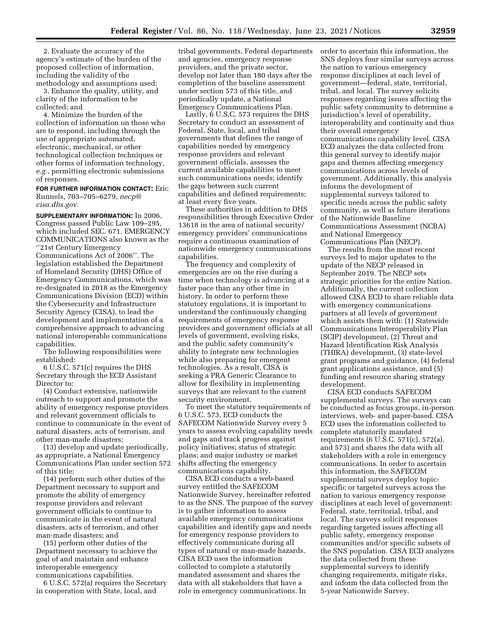2. Evaluate the accuracy of the agency's estimate of the burden of the proposed collection of information, including the validity of the methodology and assumptions used;

3. Enhance the quality, utility, and clarity of the information to be collected; and

4. Minimize the burden of the collection of information on those who are to respond, including through the use of appropriate automated, electronic, mechanical, or other technological collection techniques or other forms of information technology, *e.g.,* permitting electronic submissions of responses.

**FOR FURTHER INFORMATION CONTACT:** Eric Runnels, 703–705–6279, *[necp@](mailto:necp@cisa.dhs.gov) [cisa.dhs.gov.](mailto:necp@cisa.dhs.gov)* 

**SUPPLEMENTARY INFORMATION:** In 2006, Congress passed Public Law 109–295, which included SEC. 671. EMERGENCY COMMUNICATIONS also known as the ''21st Century Emergency Communications Act of 2006''. The legislation established the Department of Homeland Security (DHS) Office of Emergency Communications, which was re-designated in 2018 as the Emergency Communications Division (ECD) within the Cybersecurity and Infrastructure Security Agency (CISA), to lead the development and implementation of a comprehensive approach to advancing national interoperable communications capabilities.

The following responsibilities were established:

6 U.S.C. 571(c) requires the DHS Secretary through the ECD Assistant Director to:

(4) Conduct extensive, nationwide outreach to support and promote the ability of emergency response providers and relevant government officials to continue to communicate in the event of natural disasters, acts of terrorism, and other man-made disasters;

(13) develop and update periodically, as appropriate, a National Emergency Communications Plan under section 572 of this title;

(14) perform such other duties of the Department necessary to support and promote the ability of emergency response providers and relevant government officials to continue to communicate in the event of natural disasters, acts of terrorism, and other man-made disasters; and

(15) perform other duties of the Department necessary to achieve the goal of and maintain and enhance interoperable emergency

communications capabilities. 6 U.S.C. 572(a) requires the Secretary in cooperation with State, local, and

tribal governments, Federal departments and agencies, emergency response providers, and the private sector, develop not later than 180 days after the completion of the baseline assessment under section 573 of this title, and periodically update, a National Emergency Communications Plan.

Lastly, 6 U.S.C. 573 requires the DHS Secretary to conduct an assessment of Federal, State, local, and tribal governments that defines the range of capabilities needed by emergency response providers and relevant government officials, assesses the current available capabilities to meet such communications needs; identify the gaps between such current capabilities and defined requirements; at least every five years.

These authorities in addition to DHS responsibilities through Executive Order 13618 in the area of national security/ emergency providers' communications require a continuous examination of nationwide emergency communications capabilities.

The frequency and complexity of emergencies are on the rise during a time when technology is advancing at a faster pace than any other time in history. In order to perform these statutory regulations, it is important to understand the continuously changing requirements of emergency response providers and government officials at all levels of government, evolving risks, and the public safety community's ability to integrate new technologies while also preparing for emergent technologies. As a result, CISA is seeking a PRA Generic Clearance to allow for flexibility in implementing surveys that are relevant to the current security environment.

To meet the statutory requirements of 6 U.S.C. 573, ECD conducts the SAFECOM Nationwide Survey every 5 years to assess evolving capability needs and gaps and track progress against policy initiatives; status of strategic plans; and major industry or market shifts affecting the emergency communications capability.

CISA ECD conducts a web-based survey entitled the SAFECOM Nationwide Survey, hereinafter referred to as the SNS. The purpose of the survey is to gather information to assess available emergency communications capabilities and identify gaps and needs for emergency response providers to effectively communicate during all types of natural or man-made hazards. CISA ECD uses the information collected to complete a statutorily mandated assessment and shares the data with all stakeholders that have a role in emergency communications. In

order to ascertain this information, the SNS deploys four similar surveys across the nation to various emergency response disciplines at each level of government—federal, state, territorial, tribal, and local. The survey solicits responses regarding issues affecting the public safety community to determine a jurisdiction's level of operability, interoperability and continuity and thus their overall emergency communications capability level. CISA ECD analyzes the data collected from this general survey to identify major gaps and themes affecting emergency communications across levels of government. Additionally, this analysis informs the development of supplemental surveys tailored to specific needs across the public safety community, as well as future iterations of the Nationwide Baseline Communications Assessment (NCBA) and National Emergency Communications Plan (NECP).

The results from the most recent surveys led to major updates to the update of the NECP released in September 2019. The NECP sets strategic priorities for the entire Nation. Additionally, the current collection allowed CISA ECD to share reliable data with emergency communications partners at all levels of government which assists them with: (1) Statewide Communications Interoperability Plan (SCIP) development, (2) Threat and Hazard Identification Risk Analysis (THIRA) development, (3) state-level grant programs and guidance, (4) federal grant applications assistance, and (5) funding and resource sharing strategy development.

CISA ECD conducts SAFECOM supplemental surveys. The surveys can be conducted as focus groups, in-person interviews, web- and paper-based. CISA ECD uses the information collected to complete statutorily mandated requirements (6 U.S.C. 571(c), 572(a), and 573) and shares the data with all stakeholders with a role in emergency communications. In order to ascertain this information, the SAFECOM supplemental surveys deploy topicspecific or targeted surveys across the nation to various emergency response disciplines at each level of government: Federal, state, territorial, tribal, and local. The surveys solicit responses regarding targeted issues affecting all public safety, emergency response communities and/or specific subsets of the SNS population. CISA ECD analyzes the data collected from these supplemental surveys to identify changing requirements, mitigate risks, and inform the data collected from the 5-year Nationwide Survey.